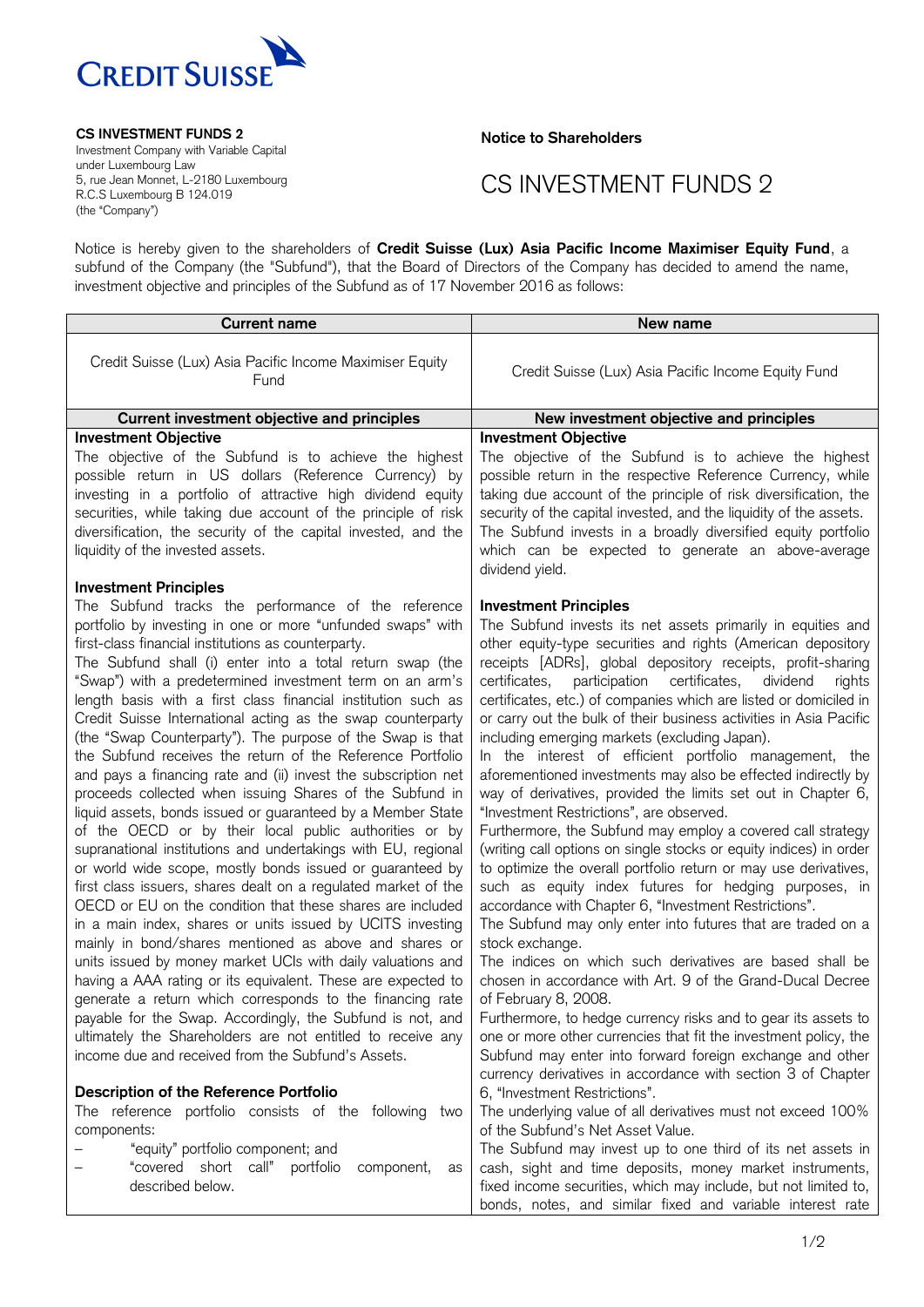

**CS INVESTMENT FUNDS 2**

Investment Company with Variable Capital under Luxembourg Law 5, rue Jean Monnet, L-2180 Luxembourg R.C.S Luxembourg B 124.019 (the "Company")

**Notice to Shareholders**

## CS INVESTMENT FUNDS 2

Notice is hereby given to the shareholders of **Credit Suisse (Lux) Asia Pacific Income Maximiser Equity Fund**, a subfund of the Company (the "Subfund"), that the Board of Directors of the Company has decided to amend the name, investment objective and principles of the Subfund as of 17 November 2016 as follows:

| <b>Current name</b>                                                                                                                                                                                                                                                                                                                                                                                                                                                                                                                                                                                                                                                                                                                                                                                                                                                                                                                                                                                                                                                                                                                                                                                                                                                                                                                                                                                                                                                                                                                                                                                                        | New name                                                                                                                                                                                                                                                                                                                                                                                                                                                                                                                                                                                                                                                                                                                                                                                                                                                                                                                                                                                                                                                                                                                                                                                                                                                                                                                                                                                                                                                                                                                                                                 |
|----------------------------------------------------------------------------------------------------------------------------------------------------------------------------------------------------------------------------------------------------------------------------------------------------------------------------------------------------------------------------------------------------------------------------------------------------------------------------------------------------------------------------------------------------------------------------------------------------------------------------------------------------------------------------------------------------------------------------------------------------------------------------------------------------------------------------------------------------------------------------------------------------------------------------------------------------------------------------------------------------------------------------------------------------------------------------------------------------------------------------------------------------------------------------------------------------------------------------------------------------------------------------------------------------------------------------------------------------------------------------------------------------------------------------------------------------------------------------------------------------------------------------------------------------------------------------------------------------------------------------|--------------------------------------------------------------------------------------------------------------------------------------------------------------------------------------------------------------------------------------------------------------------------------------------------------------------------------------------------------------------------------------------------------------------------------------------------------------------------------------------------------------------------------------------------------------------------------------------------------------------------------------------------------------------------------------------------------------------------------------------------------------------------------------------------------------------------------------------------------------------------------------------------------------------------------------------------------------------------------------------------------------------------------------------------------------------------------------------------------------------------------------------------------------------------------------------------------------------------------------------------------------------------------------------------------------------------------------------------------------------------------------------------------------------------------------------------------------------------------------------------------------------------------------------------------------------------|
| Credit Suisse (Lux) Asia Pacific Income Maximiser Equity<br>Fund                                                                                                                                                                                                                                                                                                                                                                                                                                                                                                                                                                                                                                                                                                                                                                                                                                                                                                                                                                                                                                                                                                                                                                                                                                                                                                                                                                                                                                                                                                                                                           | Credit Suisse (Lux) Asia Pacific Income Equity Fund                                                                                                                                                                                                                                                                                                                                                                                                                                                                                                                                                                                                                                                                                                                                                                                                                                                                                                                                                                                                                                                                                                                                                                                                                                                                                                                                                                                                                                                                                                                      |
| Current investment objective and principles                                                                                                                                                                                                                                                                                                                                                                                                                                                                                                                                                                                                                                                                                                                                                                                                                                                                                                                                                                                                                                                                                                                                                                                                                                                                                                                                                                                                                                                                                                                                                                                | New investment objective and principles                                                                                                                                                                                                                                                                                                                                                                                                                                                                                                                                                                                                                                                                                                                                                                                                                                                                                                                                                                                                                                                                                                                                                                                                                                                                                                                                                                                                                                                                                                                                  |
| <b>Investment Objective</b><br>The objective of the Subfund is to achieve the highest<br>possible return in US dollars (Reference Currency) by<br>investing in a portfolio of attractive high dividend equity<br>securities, while taking due account of the principle of risk<br>diversification, the security of the capital invested, and the<br>liquidity of the invested assets.                                                                                                                                                                                                                                                                                                                                                                                                                                                                                                                                                                                                                                                                                                                                                                                                                                                                                                                                                                                                                                                                                                                                                                                                                                      | <b>Investment Objective</b><br>The objective of the Subfund is to achieve the highest<br>possible return in the respective Reference Currency, while<br>taking due account of the principle of risk diversification, the<br>security of the capital invested, and the liquidity of the assets.<br>The Subfund invests in a broadly diversified equity portfolio<br>which can be expected to generate an above-average<br>dividend yield.                                                                                                                                                                                                                                                                                                                                                                                                                                                                                                                                                                                                                                                                                                                                                                                                                                                                                                                                                                                                                                                                                                                                 |
| <b>Investment Principles</b><br>The Subfund tracks the performance of the reference<br>portfolio by investing in one or more "unfunded swaps" with<br>first-class financial institutions as counterparty.<br>The Subfund shall (i) enter into a total return swap (the<br>"Swap") with a predetermined investment term on an arm's<br>length basis with a first class financial institution such as<br>Credit Suisse International acting as the swap counterparty<br>(the "Swap Counterparty"). The purpose of the Swap is that<br>the Subfund receives the return of the Reference Portfolio<br>and pays a financing rate and (ii) invest the subscription net<br>proceeds collected when issuing Shares of the Subfund in<br>liquid assets, bonds issued or guaranteed by a Member State<br>of the OECD or by their local public authorities or by<br>supranational institutions and undertakings with EU, regional<br>or world wide scope, mostly bonds issued or guaranteed by<br>first class issuers, shares dealt on a regulated market of the<br>OECD or EU on the condition that these shares are included<br>in a main index, shares or units issued by UCITS investing<br>mainly in bond/shares mentioned as above and shares or<br>units issued by money market UCIs with daily valuations and<br>having a AAA rating or its equivalent. These are expected to<br>generate a return which corresponds to the financing rate<br>payable for the Swap. Accordingly, the Subfund is not, and<br>ultimately the Shareholders are not entitled to receive any<br>income due and received from the Subfund's Assets. | <b>Investment Principles</b><br>The Subfund invests its net assets primarily in equities and<br>other equity-type securities and rights (American depository<br>receipts [ADRs], global depository receipts, profit-sharing<br>participation certificates,<br>certificates,<br>dividend<br>rights<br>certificates, etc.) of companies which are listed or domiciled in<br>or carry out the bulk of their business activities in Asia Pacific<br>including emerging markets (excluding Japan).<br>In the interest of efficient portfolio management, the<br>aforementioned investments may also be effected indirectly by<br>way of derivatives, provided the limits set out in Chapter 6,<br>"Investment Restrictions", are observed.<br>Furthermore, the Subfund may employ a covered call strategy<br>(writing call options on single stocks or equity indices) in order<br>to optimize the overall portfolio return or may use derivatives,<br>such as equity index futures for hedging purposes, in<br>accordance with Chapter 6, "Investment Restrictions".<br>The Subfund may only enter into futures that are traded on a<br>stock exchange.<br>The indices on which such derivatives are based shall be<br>chosen in accordance with Art. 9 of the Grand-Ducal Decree<br>of February 8, 2008.<br>Furthermore, to hedge currency risks and to gear its assets to<br>one or more other currencies that fit the investment policy, the<br>Subfund may enter into forward foreign exchange and other<br>currency derivatives in accordance with section 3 of Chapter |
| <b>Description of the Reference Portfolio</b>                                                                                                                                                                                                                                                                                                                                                                                                                                                                                                                                                                                                                                                                                                                                                                                                                                                                                                                                                                                                                                                                                                                                                                                                                                                                                                                                                                                                                                                                                                                                                                              | 6, "Investment Restrictions".                                                                                                                                                                                                                                                                                                                                                                                                                                                                                                                                                                                                                                                                                                                                                                                                                                                                                                                                                                                                                                                                                                                                                                                                                                                                                                                                                                                                                                                                                                                                            |
| The reference portfolio consists of the following two<br>components:<br>"equity" portfolio component; and<br>"covered short call" portfolio<br>component,<br>as<br>described below.                                                                                                                                                                                                                                                                                                                                                                                                                                                                                                                                                                                                                                                                                                                                                                                                                                                                                                                                                                                                                                                                                                                                                                                                                                                                                                                                                                                                                                        | The underlying value of all derivatives must not exceed 100%<br>of the Subfund's Net Asset Value.<br>The Subfund may invest up to one third of its net assets in<br>cash, sight and time deposits, money market instruments,<br>fixed income securities, which may include, but not limited to,<br>bonds, notes, and similar fixed and variable interest rate                                                                                                                                                                                                                                                                                                                                                                                                                                                                                                                                                                                                                                                                                                                                                                                                                                                                                                                                                                                                                                                                                                                                                                                                            |